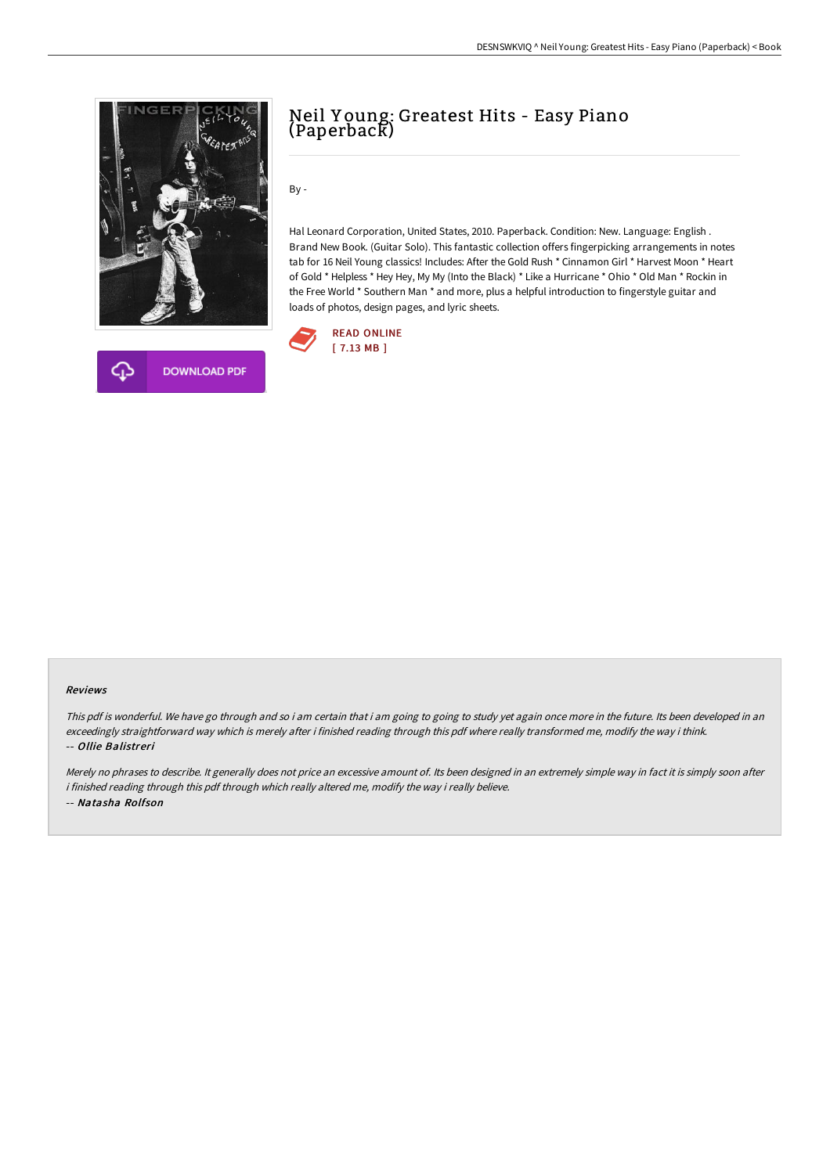



By -

Hal Leonard Corporation, United States, 2010. Paperback. Condition: New. Language: English . Brand New Book. (Guitar Solo). This fantastic collection offers fingerpicking arrangements in notes tab for 16 Neil Young classics! Includes: After the Gold Rush \* Cinnamon Girl \* Harvest Moon \* Heart of Gold \* Helpless \* Hey Hey, My My (Into the Black) \* Like a Hurricane \* Ohio \* Old Man \* Rockin in the Free World \* Southern Man \* and more, plus a helpful introduction to fingerstyle guitar and loads of photos, design pages, and lyric sheets.



## Reviews

This pdf is wonderful. We have go through and so i am certain that i am going to going to study yet again once more in the future. Its been developed in an exceedingly straightforward way which is merely after i finished reading through this pdf where really transformed me, modify the way i think. -- Ollie Balistreri

Merely no phrases to describe. It generally does not price an excessive amount of. Its been designed in an extremely simple way in fact it is simply soon after i finished reading through this pdf through which really altered me, modify the way i really believe. -- Natasha Rolfson